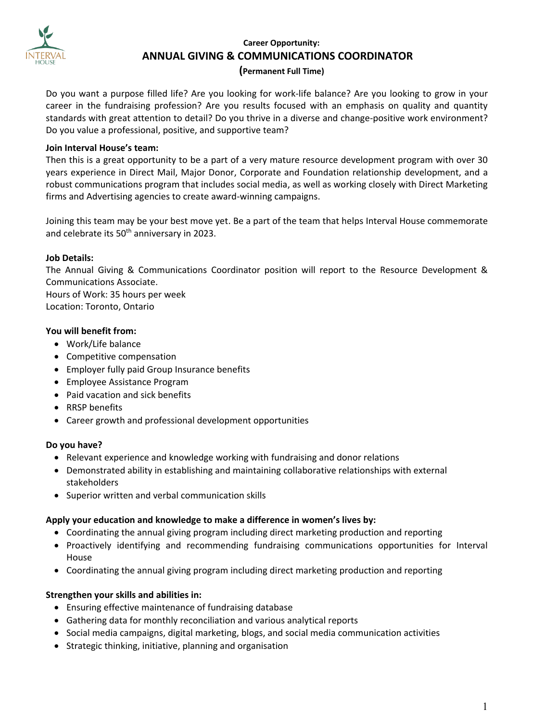

# **Career Opportunity: ANNUAL GIVING & COMMUNICATIONS COORDINATOR**

## **(Permanent Full Time)**

Do you want a purpose filled life? Are you looking for work-life balance? Are you looking to grow in your career in the fundraising profession? Are you results focused with an emphasis on quality and quantity standards with great attention to detail? Do you thrive in a diverse and change-positive work environment? Do you value a professional, positive, and supportive team?

#### **Join Interval House's team:**

Then this is a great opportunity to be a part of a very mature resource development program with over 30 years experience in Direct Mail, Major Donor, Corporate and Foundation relationship development, and a robust communications program that includes social media, as well as working closely with Direct Marketing firms and Advertising agencies to create award-winning campaigns.

Joining this team may be your best move yet. Be a part of the team that helps Interval House commemorate and celebrate its 50<sup>th</sup> anniversary in 2023.

## **Job Details:**

The Annual Giving & Communications Coordinator position will report to the Resource Development & Communications Associate. Hours of Work: 35 hours per week Location: Toronto, Ontario

**You will benefit from:**

- Work/Life balance
- Competitive compensation
- Employer fully paid Group Insurance benefits
- Employee Assistance Program
- Paid vacation and sick benefits
- RRSP benefits
- Career growth and professional development opportunities

# **Do you have?**

- Relevant experience and knowledge working with fundraising and donor relations
- Demonstrated ability in establishing and maintaining collaborative relationships with external stakeholders
- Superior written and verbal communication skills

#### **Apply your education and knowledge to make a difference in women's lives by:**

- Coordinating the annual giving program including direct marketing production and reporting
- Proactively identifying and recommending fundraising communications opportunities for Interval House
- Coordinating the annual giving program including direct marketing production and reporting

#### **Strengthen your skills and abilities in:**

- Ensuring effective maintenance of fundraising database
- Gathering data for monthly reconciliation and various analytical reports
- Social media campaigns, digital marketing, blogs, and social media communication activities
- Strategic thinking, initiative, planning and organisation